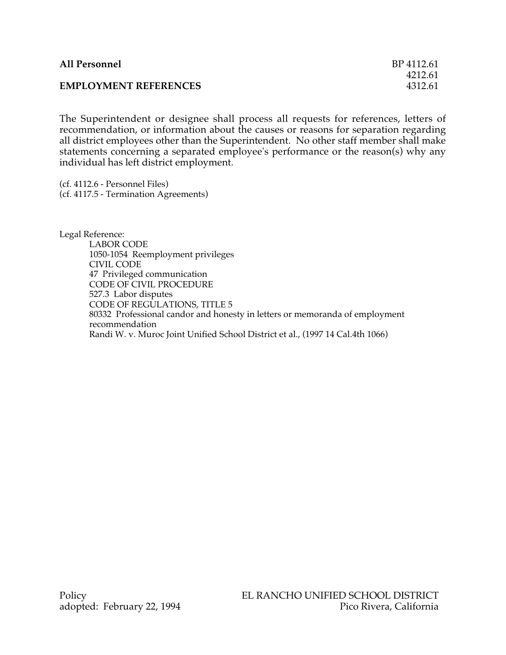| <b>All Personnel</b>         | BP 4112.61 |
|------------------------------|------------|
|                              | 4212.61    |
| <b>EMPLOYMENT REFERENCES</b> | 4312.61    |

The Superintendent or designee shall process all requests for references, letters of recommendation, or information about the causes or reasons for separation regarding all district employees other than the Superintendent. No other staff member shall make statements concerning a separated employee's performance or the reason(s) why any individual has left district employment.

(cf. 4112.6 - Personnel Files) (cf. 4117.5 - Termination Agreements)

Legal Reference: LABOR CODE 1050-1054 Reemployment privileges CIVIL CODE 47 Privileged communication CODE OF CIVIL PROCEDURE 527.3 Labor disputes CODE OF REGULATIONS, TITLE 5 80332 Professional candor and honesty in letters or memoranda of employment recommendation Randi W. v. Muroc Joint Unified School District et al., (1997 14 Cal.4th 1066)